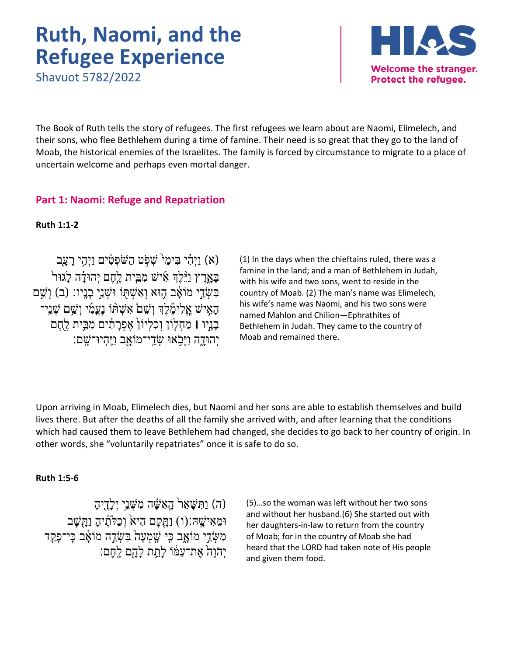# **Ruth, Naomi, and the Refugee Experience**

Shavuot 5782/2022



The Book of Ruth tells the story of refugees. The first refugees we learn about are Naomi, Elimelech, and their sons, who flee Bethlehem during a time of famine. Their need is so great that they go to the land of Moab, the historical enemies of the Israelites. The family is forced by circumstance to migrate to a place of uncertain welcome and perhaps even mortal danger.

# **Part 1: Naomi: Refuge and Repatriation**

**Ruth 1:1-2**

(א) וַיְהִי בִּימֵי<sup>{</sup> שָׁפִׂט הַשֹּׁפְטָים וַיְהֵי רַעֲב בַּאֲרֶץ וַיֵּ $\gamma$ ן אִישׁ מְבֵית לֶחֶם יְהוּדָ֫ה לַגוּר בִּשְׂדֵי מוֹאָד הִוּא וְאִשְׁתְּוֹ וּשְׁנֵי בַנֵּיו: (ב) וְשֵׁם הָאִישׁ אֱלִימֶלְךְ וְשֵׁם**ْ אִשְׁהּ**וֹ נָעֲמִי וְשֵׁם שָׁנֵי־ בַנֵיו l מַחָלְוֹן וִכְלִיוֹן **אֵפְרַתְנִים מְבֵּית לֻחֱם** יִהוּ<u>ד</u>ָה וַיַּבְׂאוּ שָׂדֵי־מוֹאָב וַיֵּהְיוּ־שֵׁם:

(1) In the days when the chieftains ruled, there was a famine in the land; and a man of Bethlehem in Judah, with his wife and two sons, went to reside in the country of Moab. (2) The man's name was Elimelech, his wife's name was Naomi, and his two sons were named Mahlon and Chilion—Ephrathites of Bethlehem in Judah. They came to the country of Moab and remained there.

Upon arriving in Moab, Elimelech dies, but Naomi and her sons are able to establish themselves and build lives there. But after the deaths of all the family she arrived with, and after learning that the conditions which had caused them to leave Bethlehem had changed, she decides to go back to her country of origin. In other words, she "voluntarily repatriates" once it is safe to do so.

#### **Ruth 1:5-6**

(ה) וַתִּשָּׁאֵר<sup>י</sup> הָאִשָּׁה מִשְּׁנֵי יְלָדֶיהָ וּמֵאִישֵׁהּ:(ו) וַתֲקַם הִיא<sup>ָ</sup> וְכַלְתֶ֫יהָ וַתְּשָׁב מִשָּׂדֵי מוֹאָב כִּי שֵׁמְעַה<sup>ָ</sup> בִּשְׂדֵה מוֹאָב כֵּי־פַקַד יָהֹוָה אֶת־עַמּׁוֹ לְתֵת לְהֶם לְחֶם:

(5)…so the woman was left without her two sons and without her husband.(6) She started out with her daughters-in-law to return from the country of Moab; for in the country of Moab she had heard that the LORD had taken note of His people and given them food.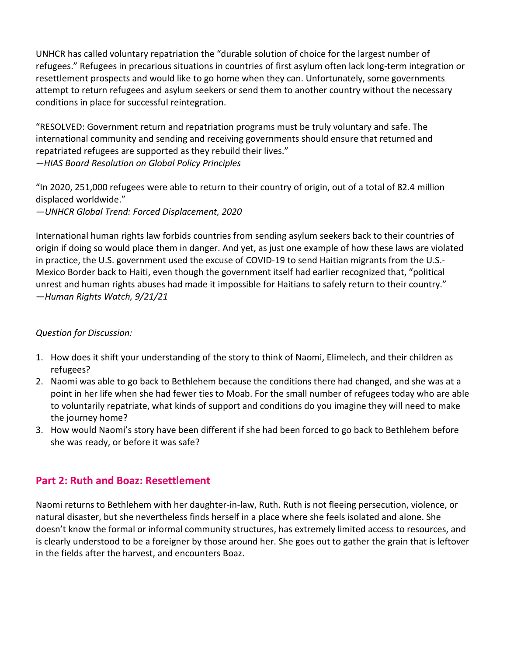UNHCR has called voluntary repatriation the "durable solution of choice for the largest number of refugees." Refugees in precarious situations in countries of first asylum often lack long-term integration or resettlement prospects and would like to go home when they can. Unfortunately, some governments attempt to return refugees and asylum seekers or send them to another country without the necessary conditions in place for successful reintegration.

"RESOLVED: Government return and repatriation programs must be truly voluntary and safe. The international community and sending and receiving governments should ensure that returned and repatriated refugees are supported as they rebuild their lives." *—HIAS Board Resolution on Global Policy Principles*

"In 2020, 251,000 refugees were able to return to their country of origin, out of a total of 82.4 million displaced worldwide."

*—UNHCR Global Trend: Forced Displacement, 2020*

International human rights law forbids countries from sending asylum seekers back to their countries of origin if doing so would place them in danger. And yet, as just one example of how these laws are violated in practice, the U.S. government used the excuse of COVID-19 to send Haitian migrants from the U.S.- Mexico Border back to Haiti, even though the government itself had earlier recognized that, "political unrest and human rights abuses had made it impossible for Haitians to safely return to their country." —*Human Rights Watch, 9/21/21*

#### *Question for Discussion:*

- 1. How does it shift your understanding of the story to think of Naomi, Elimelech, and their children as refugees?
- 2. Naomi was able to go back to Bethlehem because the conditions there had changed, and she was at a point in her life when she had fewer ties to Moab. For the small number of refugees today who are able to voluntarily repatriate, what kinds of support and conditions do you imagine they will need to make the journey home?
- 3. How would Naomi's story have been different if she had been forced to go back to Bethlehem before she was ready, or before it was safe?

## **Part 2: Ruth and Boaz: Resettlement**

Naomi returns to Bethlehem with her daughter-in-law, Ruth. Ruth is not fleeing persecution, violence, or natural disaster, but she nevertheless finds herself in a place where she feels isolated and alone. She doesn't know the formal or informal community structures, has extremely limited access to resources, and is clearly understood to be a foreigner by those around her. She goes out to gather the grain that is leftover in the fields after the harvest, and encounters Boaz.